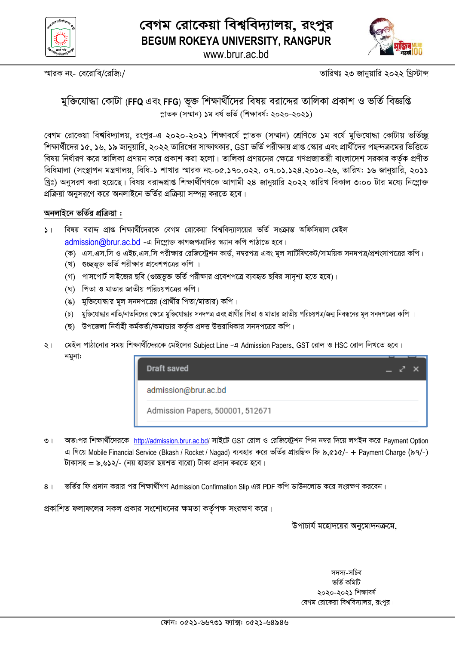



স্মারক নং- বেরোবি/রেজি:/

তারিখঃ ২৩ জানুয়ারি ২০২২ খ্রিস্টাব্দ

### মুক্তিযোদ্ধা কোটা (FFQ এবং FFG) ভুক্ত শিক্ষার্থীদের বিষয় বরাদ্দের তালিকা প্রকাশ ও ভর্তি বিজ্ঞপ্তি স্নাতক (সম্মান) ১ম বৰ্ষ ভৰ্তি (শিক্ষাবৰ্ষ: ২০২০-২০২১)

বেগম রোকেয়া বিশ্ববিদ্যালয়, রংপুর-এ ২০২০-২০২১ শিক্ষাবর্ষে স্লাতক (সম্মান) শ্রেণিতে ১ম বর্ষে মুক্তিযোদ্ধা কোটায় ভর্তিচ্ছ শিক্ষার্থীদের ১৫, ১৬, ১৯ জানুয়ারি, ২০২২ তারিখের সাক্ষাৎকার, GST ভর্তি পরীক্ষায় প্রাপ্ত স্কোর এবং প্রার্থীদের পছন্দক্রমের ভিত্তিতে বিষয় নির্ধারণ করে তালিকা প্রণয়ন করে প্রকাশ করা হলো। তালিকা প্রণয়নের ক্ষেত্রে গণপ্রজাতন্ত্রী বাংলাদেশ সরকার কর্তক প্রণীত বিধিমালা (সংস্থাপন মন্ত্রণালয়, বিধি-১ শাখার স্মারক নং-০৫.১৭০.০২২. ০৭.০১.১২৪.২০১০-২৬, তারিখ: ১৬ জানুয়ারি, ২০১১ খ্রিঃ) অনুসরণ করা হয়েছে। বিষয় বরাদ্দপ্রাপ্ত শিক্ষার্থীগণকে আগামী ২৪ জানুয়ারি ২০২২ তারিখ বিকাল ৩:০০ টার মধ্যে নিম্লোক্ত প্রক্রিয়া অনুসরণে করে অনলাইনে ভর্তির প্রক্রিয়া সম্পন্ন করতে হবে।

#### অনলাইনে ভর্তির প্রক্রিয়া :

- $5<sub>1</sub>$ বিষয় বরাদ্দ প্রাপ্ত শিক্ষার্থীদেরকে বেগম রোকেয়া বিশ্ববিদ্যালয়ের ভর্তি সংক্রান্ত অফিসিয়াল মেইল admission@brur.ac.bd -এ নিম্লোক্ত কাগজপত্রাদির স্ক্যান কপি পাঠাতে হবে।
	- (ক) এস.এস.সি ও এইচ.এস.সি পরীক্ষার রেজিস্ট্রেশন কার্ড, নম্বরপত্র এবং মূল সার্টিফিকেট/সাময়িক সনদপত্র/প্রশংসাপত্রের কপি।
	- (খ) গুচ্ছভূক্ত ভর্তি পরীক্ষার প্রবেশপত্রের কপি ।
	- (গ) পাসপোর্ট সাইজের ছবি (গুচ্ছভূক্ত ভর্তি পরীক্ষার প্রবেশপত্রে ব্যবহৃত ছবির সাদৃশ্য হতে হবে)।
	- (ঘ) পিতা ও মাতার জাতীয় পরিচয়পত্রের কপি।
	- (ঙ) মুক্তিযোদ্ধার মূল সনদপত্রের (প্রার্থীর পিতা/মাতার) কপি।
	- (চ) মুক্তিযোদ্ধার নাতি/নাতনিদের ক্ষেত্রে মুক্তিযোদ্ধার সনদপত্র এবং প্রার্থীর পিতা ও মাতার জাতীয় পরিচয়পত্র/জন্ম নিবন্ধনের মূল সনদপত্রের কপি ।
	- (ছ) উপজেলা নির্বাহী কর্মকর্তা/কমান্ডার কর্তৃক প্রদত্ত উত্তরাধিকার সনদপত্রের কপি।
- মেইল পাঠানোর সময় শিক্ষার্থীদেরকে মেইলের Subject Line -এ Admission Papers, GST রোল ও HSC রোল লিখতে হবে।  $\sqrt{2}$ নমুনা:



- অত:পর শিক্ষার্থীদেরকে http://admission.brur.ac.bd/ সাইটে GST রোল ও রেজিস্ট্রেশন পিন নম্বর দিয়ে লগইন করে Payment Option  $\circ$  | এ গিয়ে Mobile Financial Service (Bkash / Rocket / Nagad) ব্যবহার করে ভর্তির প্রারম্ভিক ফি ৯,৫১৫/- + Payment Charge (৯৭/-) টাকাসহ = ৯.৬১২/- (নয় হাজার ছয়শত বারো) টাকা প্রদান করতে হবে।
- ভর্তির ফি প্রদান করার পর শিক্ষার্থীগণ Admission Confirmation Slip এর PDF কপি ডাউনলোড করে সংরক্ষণ করবেন।  $8<sup>1</sup>$

প্রকাশিত ফলাফলের সকল প্রকার সংশোধনের ক্ষমতা কর্তৃপক্ষ সংরক্ষণ করে।

উপাচার্য মহোদয়ের অনুমোদনক্রমে,

সদস্য-সচিব ভৰ্তি কমিটি ২০২০-২০২১ শিক্ষাবৰ্ষ বেগম রোকেয়া বিশ্ববিদ্যালয়, রংপুর।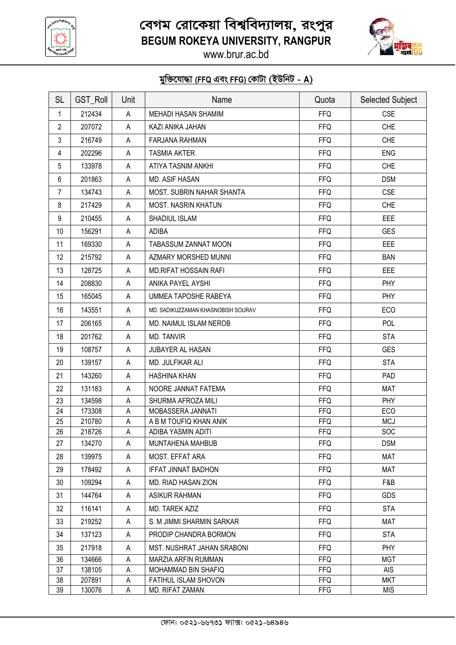

# *বে*গম রোকেয়া বিশ্ববিদ্যালয়, রংপুর **BEGUM ROKEYA UNIVERSITY, RANGPUR**



www.brur.ac.bd

## $\frac{1}{2}$ জিযোদ্ধা (FFQ এবং FFG) কোটা (ইউনিট - A)

| <b>SL</b>      | <b>GST_Roll</b> | Unit | Name                               | Quota      | <b>Selected Subject</b> |
|----------------|-----------------|------|------------------------------------|------------|-------------------------|
| 1              | 212434          | A    | MEHADI HASAN SHAMIM                | <b>FFQ</b> | <b>CSE</b>              |
| $\overline{2}$ | 207072          | A    | KAZI ANIKA JAHAN                   | <b>FFQ</b> | <b>CHE</b>              |
| 3              | 216749          | A    | <b>FARJANA RAHMAN</b>              | <b>FFQ</b> | <b>CHE</b>              |
| 4              | 202296          | A    | <b>TASMIA AKTER</b>                | <b>FFQ</b> | <b>ENG</b>              |
| 5              | 133978          | A    | ATIYA TASNIM ANKHI                 | <b>FFQ</b> | <b>CHE</b>              |
| 6              | 201863          | A    | MD. ASIF HASAN                     | <b>FFQ</b> | <b>DSM</b>              |
| 7              | 134743          | A    | MOST. SUBRIN NAHAR SHANTA          | <b>FFQ</b> | <b>CSE</b>              |
| 8              | 217429          | A    | <b>MOST. NASRIN KHATUN</b>         | <b>FFQ</b> | <b>CHE</b>              |
| 9              | 210455          | A    | SHADIUL ISLAM                      | <b>FFQ</b> | EEE                     |
| 10             | 156291          | A    | <b>ADIBA</b>                       | <b>FFQ</b> | <b>GES</b>              |
| 11             | 169330          | A    | TABASSUM ZANNAT MOON               | <b>FFQ</b> | <b>EEE</b>              |
| 12             | 215792          | A    | AZMARY MORSHED MUNNI               | <b>FFQ</b> | <b>BAN</b>              |
| 13             | 128725          | A    | <b>MD.RIFAT HOSSAIN RAFI</b>       | <b>FFQ</b> | <b>EEE</b>              |
| 14             | 208830          | A    | ANIKA PAYEL AYSHI                  | <b>FFQ</b> | <b>PHY</b>              |
| 15             | 165045          | A    | UMMEA TAPOSHE RABEYA               | <b>FFQ</b> | PHY                     |
| 16             | 143551          | A    | MD. SADIKUZZAMAN KHASNOBISH SOURAV | <b>FFQ</b> | <b>ECO</b>              |
| 17             | 206165          | A    | MD. NAIMUL ISLAM NEROB             | <b>FFQ</b> | POL                     |
| 18             | 201762          | A    | MD. TANVIR                         | <b>FFQ</b> | <b>STA</b>              |
| 19             | 108757          | A    | JUBAYER AL HASAN                   | <b>FFQ</b> | <b>GES</b>              |
| 20             | 139157          | A    | MD. JULFIKAR ALI                   | <b>FFQ</b> | <b>STA</b>              |
| 21             | 143260          | A    | <b>HASHINA KHAN</b>                | <b>FFQ</b> | PAD                     |
| 22             | 131183          | A    | NOORE JANNAT FATEMA                | <b>FFQ</b> | <b>MAT</b>              |
| 23             | 134598          | A    | SHURMA AFROZA MILI                 | <b>FFQ</b> | PHY                     |
| 24             | 173308          | A    | MOBASSERA JANNATI                  | <b>FFQ</b> | ECO                     |
| 25             | 210780          | A    | A B M TOUFIQ KHAN ANIK             | <b>FFQ</b> | <b>MCJ</b>              |
| 26             | 218726          | A    | ADIBA YASMIN ADITI                 | <b>FFQ</b> | <b>SOC</b>              |
| 27             | 134270          | A    | MUNTAHENA MAHBUB                   | FFQ.       | <b>DSM</b>              |
| 28             | 139975          | A    | MOST. EFFAT ARA                    | <b>FFQ</b> | <b>MAT</b>              |
| 29             | 178492          | A    | <b>IFFAT JINNAT BADHON</b>         | <b>FFQ</b> | <b>MAT</b>              |
| 30             | 109294          | A    | MD. RIAD HASAN ZION                | <b>FFQ</b> | F&B                     |
| 31             | 144764          | A    | ASIKUR RAHMAN                      | <b>FFQ</b> | <b>GDS</b>              |
| 32             | 116141          | A    | MD. TAREK AZIZ                     | <b>FFQ</b> | <b>STA</b>              |
| 33             | 219252          | A    | S. M JIMMI SHARMIN SARKAR          | <b>FFQ</b> | MAT                     |
| 34             | 137123          | A    | PRODIP CHANDRA BORMON              | <b>FFQ</b> | <b>STA</b>              |
| 35             | 217918          | A    | MST. NUSHRAT JAHAN SRABONI         | <b>FFQ</b> | <b>PHY</b>              |
| 36             | 134666          | А    | MARZIA ARFIN RUMMAN                | <b>FFQ</b> | <b>MGT</b>              |
| 37             | 138105          | A    | MOHAMMAD BIN SHAFIQ                | <b>FFQ</b> | <b>AIS</b>              |
| 38             | 207891          | А    | FATIHUL ISLAM SHOVON               | <b>FFQ</b> | <b>MKT</b>              |
| 39             | 130076          | A    | MD. RIFAT ZAMAN                    | <b>FFG</b> | <b>MIS</b>              |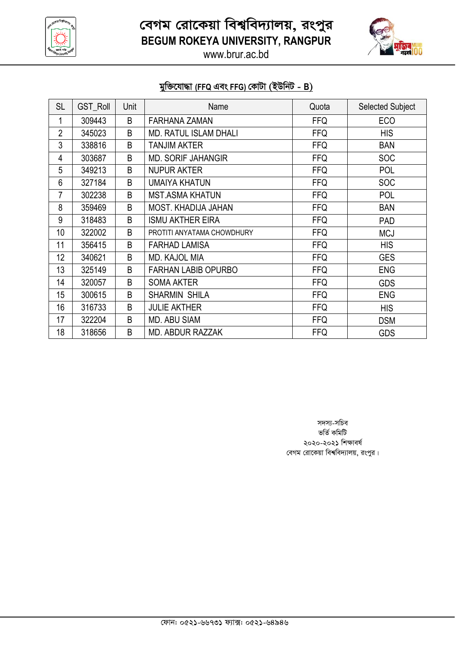

*বে*গম রোকেয়া বিশ্ববিদ্যালয়, রংপুর **BEGUM ROKEYA UNIVERSITY, RANGPUR**



www.brur.ac.bd

### $\frac{1}{2}$ জিযোদ্ধা (FFQ এবং FFG) কোটা (ইউনিট - B)

| <b>SL</b>      | <b>GST_Roll</b> | Unit | Name                         | Quota      | <b>Selected Subject</b> |
|----------------|-----------------|------|------------------------------|------------|-------------------------|
| 1              | 309443          | B    | <b>FARHANA ZAMAN</b>         | <b>FFQ</b> | ECO                     |
| $\overline{2}$ | 345023          | B    | <b>MD. RATUL ISLAM DHALI</b> | <b>FFQ</b> | <b>HIS</b>              |
| 3              | 338816          | B    | TANJIM AKTER                 | <b>FFQ</b> | <b>BAN</b>              |
| 4              | 303687          | B    | <b>MD. SORIF JAHANGIR</b>    | <b>FFQ</b> | <b>SOC</b>              |
| 5              | 349213          | B    | <b>NUPUR AKTER</b>           | <b>FFQ</b> | POL                     |
| 6              | 327184          | B    | <b>UMAIYA KHATUN</b>         | <b>FFQ</b> | <b>SOC</b>              |
| 7              | 302238          | B    | <b>MST.ASMA KHATUN</b>       | <b>FFQ</b> | POL                     |
| 8              | 359469          | B    | MOST. KHADIJA JAHAN          | <b>FFQ</b> | <b>BAN</b>              |
| 9              | 318483          | B    | <b>ISMU AKTHER EIRA</b>      | <b>FFQ</b> | <b>PAD</b>              |
| 10             | 322002          | B    | PROTITI ANYATAMA CHOWDHURY   | <b>FFQ</b> | <b>MCJ</b>              |
| 11             | 356415          | B    | <b>FARHAD LAMISA</b>         | <b>FFQ</b> | <b>HIS</b>              |
| 12             | 340621          | B    | <b>MD. KAJOL MIA</b>         | <b>FFQ</b> | <b>GES</b>              |
| 13             | 325149          | B    | <b>FARHAN LABIB OPURBO</b>   | <b>FFQ</b> | <b>ENG</b>              |
| 14             | 320057          | B    | <b>SOMA AKTER</b>            | <b>FFQ</b> | <b>GDS</b>              |
| 15             | 300615          | B    | <b>SHARMIN SHILA</b>         | <b>FFQ</b> | <b>ENG</b>              |
| 16             | 316733          | B    | <b>JULIE AKTHER</b>          | <b>FFQ</b> | <b>HIS</b>              |
| 17             | 322204          | B    | <b>MD. ABU SIAM</b>          | <b>FFQ</b> | <b>DSM</b>              |
| 18             | 318656          | B    | <b>MD. ABDUR RAZZAK</b>      | <b>FFQ</b> | <b>GDS</b>              |

*m`m¨-mwPe* ভৰ্তি কমিটি ২০২০-২০২১ শিক্ষাবৰ্ষ  $\frac{1}{2}$  *বেগম রোকেয়া বিশ্ববিদ্যালয়, রংপুর।*